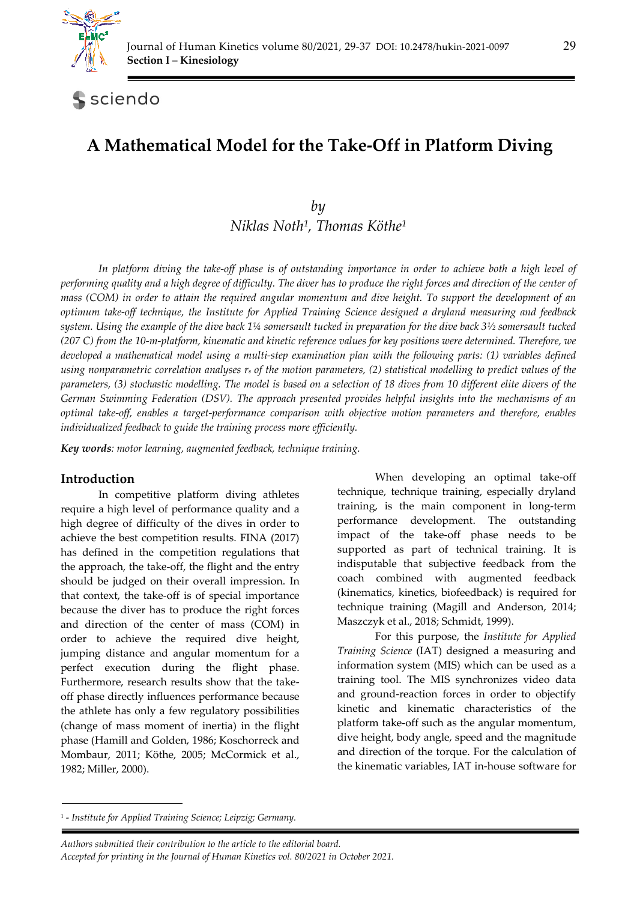

# sciendo

# **A Mathematical Model for the Take-Off in Platform Diving**

## *by Niklas Noth1, Thomas Köthe1*

*In platform diving the take-off phase is of outstanding importance in order to achieve both a high level of performing quality and a high degree of difficulty. The diver has to produce the right forces and direction of the center of mass (COM) in order to attain the required angular momentum and dive height. To support the development of an optimum take-off technique, the Institute for Applied Training Science designed a dryland measuring and feedback system. Using the example of the dive back 1¼ somersault tucked in preparation for the dive back 3½ somersault tucked (207 C) from the 10-m-platform, kinematic and kinetic reference values for key positions were determined. Therefore, we*  developed a mathematical model using a multi-step examination plan with the following parts: (1) variables defined *using nonparametric correlation analyses rs of the motion parameters, (2) statistical modelling to predict values of the parameters, (3) stochastic modelling. The model is based on a selection of 18 dives from 10 different elite divers of the German Swimming Federation (DSV). The approach presented provides helpful insights into the mechanisms of an optimal take-off, enables a target-performance comparison with objective motion parameters and therefore, enables individualized feedback to guide the training process more efficiently.* 

*Key words: motor learning, augmented feedback, technique training.* 

## **Introduction**

In competitive platform diving athletes require a high level of performance quality and a high degree of difficulty of the dives in order to achieve the best competition results. FINA (2017) has defined in the competition regulations that the approach, the take-off, the flight and the entry should be judged on their overall impression. In that context, the take-off is of special importance because the diver has to produce the right forces and direction of the center of mass (COM) in order to achieve the required dive height, jumping distance and angular momentum for a perfect execution during the flight phase. Furthermore, research results show that the takeoff phase directly influences performance because the athlete has only a few regulatory possibilities (change of mass moment of inertia) in the flight phase (Hamill and Golden, 1986; Koschorreck and Mombaur, 2011; Köthe, 2005; McCormick et al., 1982; Miller, 2000).

When developing an optimal take-off technique, technique training, especially dryland training, is the main component in long-term performance development. The outstanding impact of the take-off phase needs to be supported as part of technical training. It is indisputable that subjective feedback from the coach combined with augmented feedback (kinematics, kinetics, biofeedback) is required for technique training (Magill and Anderson, 2014; Maszczyk et al., 2018; Schmidt, 1999).

For this purpose, the *Institute for Applied Training Science* (IAT) designed a measuring and information system (MIS) which can be used as a training tool. The MIS synchronizes video data and ground-reaction forces in order to objectify kinetic and kinematic characteristics of the platform take-off such as the angular momentum, dive height, body angle, speed and the magnitude and direction of the torque. For the calculation of the kinematic variables, IAT in-house software for

<sup>1 -</sup> *Institute for Applied Training Science; Leipzig; Germany.*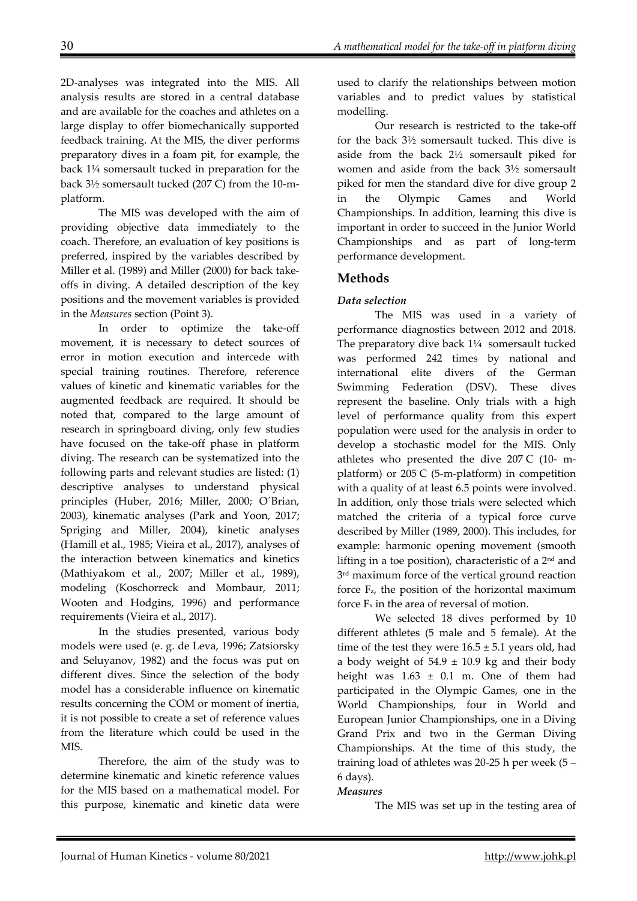2D-analyses was integrated into the MIS. All analysis results are stored in a central database and are available for the coaches and athletes on a large display to offer biomechanically supported feedback training. At the MIS, the diver performs preparatory dives in a foam pit, for example, the back 1¼ somersault tucked in preparation for the back 3½ somersault tucked (207 C) from the 10-mplatform.

The MIS was developed with the aim of providing objective data immediately to the coach. Therefore, an evaluation of key positions is preferred, inspired by the variables described by Miller et al. (1989) and Miller (2000) for back takeoffs in diving. A detailed description of the key positions and the movement variables is provided in the *Measures* section (Point 3).

In order to optimize the take-off movement, it is necessary to detect sources of error in motion execution and intercede with special training routines. Therefore, reference values of kinetic and kinematic variables for the augmented feedback are required. It should be noted that, compared to the large amount of research in springboard diving, only few studies have focused on the take-off phase in platform diving. The research can be systematized into the following parts and relevant studies are listed: (1) descriptive analyses to understand physical principles (Huber, 2016; Miller, 2000; O´Brian, 2003), kinematic analyses (Park and Yoon, 2017; Spriging and Miller, 2004), kinetic analyses (Hamill et al., 1985; Vieira et al., 2017), analyses of the interaction between kinematics and kinetics (Mathiyakom et al., 2007; Miller et al., 1989), modeling (Koschorreck and Mombaur, 2011; Wooten and Hodgins, 1996) and performance requirements (Vieira et al., 2017).

In the studies presented, various body models were used (e. g. de Leva, 1996; Zatsiorsky and Seluyanov, 1982) and the focus was put on different dives. Since the selection of the body model has a considerable influence on kinematic results concerning the COM or moment of inertia, it is not possible to create a set of reference values from the literature which could be used in the MIS.

Therefore, the aim of the study was to determine kinematic and kinetic reference values for the MIS based on a mathematical model. For this purpose, kinematic and kinetic data were used to clarify the relationships between motion variables and to predict values by statistical modelling.

Our research is restricted to the take-off for the back 3½ somersault tucked. This dive is aside from the back 2½ somersault piked for women and aside from the back 3½ somersault piked for men the standard dive for dive group 2 in the Olympic Games and World Championships. In addition, learning this dive is important in order to succeed in the Junior World Championships and as part of long-term performance development.

## **Methods**

## *Data selection*

The MIS was used in a variety of performance diagnostics between 2012 and 2018. The preparatory dive back 1¼ somersault tucked was performed 242 times by national and international elite divers of the German Swimming Federation (DSV). These dives represent the baseline. Only trials with a high level of performance quality from this expert population were used for the analysis in order to develop a stochastic model for the MIS. Only athletes who presented the dive 207 C (10- mplatform) or 205 C (5-m-platform) in competition with a quality of at least 6.5 points were involved. In addition, only those trials were selected which matched the criteria of a typical force curve described by Miller (1989, 2000). This includes, for example: harmonic opening movement (smooth lifting in a toe position), characteristic of a  $2<sup>nd</sup>$  and 3<sup>rd</sup> maximum force of the vertical ground reaction force Fz, the position of the horizontal maximum force  $F_x$  in the area of reversal of motion.

We selected 18 dives performed by 10 different athletes (5 male and 5 female). At the time of the test they were  $16.5 \pm 5.1$  years old, had a body weight of  $54.9 \pm 10.9$  kg and their body height was  $1.63 \pm 0.1$  m. One of them had participated in the Olympic Games, one in the World Championships, four in World and European Junior Championships, one in a Diving Grand Prix and two in the German Diving Championships. At the time of this study, the training load of athletes was 20-25 h per week (5 – 6 days).

#### *Measures*

The MIS was set up in the testing area of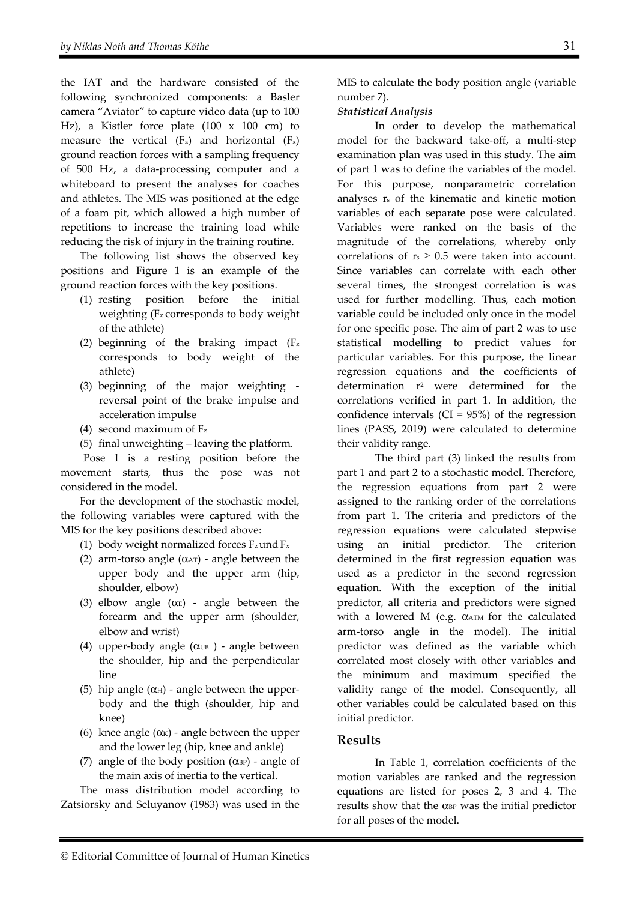the IAT and the hardware consisted of the following synchronized components: a Basler camera "Aviator" to capture video data (up to 100 Hz), a Kistler force plate  $(100 \times 100 \text{ cm})$  to measure the vertical  $(F_z)$  and horizontal  $(F_x)$ ground reaction forces with a sampling frequency of 500 Hz, a data-processing computer and a whiteboard to present the analyses for coaches and athletes. The MIS was positioned at the edge of a foam pit, which allowed a high number of repetitions to increase the training load while reducing the risk of injury in the training routine.

The following list shows the observed key positions and Figure 1 is an example of the ground reaction forces with the key positions.

- (1) resting position before the initial weighting (Fz corresponds to body weight of the athlete)
- (2) beginning of the braking impact  $(F_z)$ corresponds to body weight of the athlete)
- (3) beginning of the major weighting reversal point of the brake impulse and acceleration impulse
- (4) second maximum of  $F_z$
- (5) final unweighting leaving the platform.

Pose 1 is a resting position before the movement starts, thus the pose was not considered in the model.

For the development of the stochastic model, the following variables were captured with the MIS for the key positions described above:

- (1) body weight normalized forces  $F_z$  und  $F_x$
- (2) arm-torso angle  $(\alpha_{AT})$  angle between the upper body and the upper arm (hip, shoulder, elbow)
- (3) elbow angle ( $\alpha$ E) angle between the forearm and the upper arm (shoulder, elbow and wrist)
- (4) upper-body angle  $(\alpha_{UB})$  angle between the shoulder, hip and the perpendicular line
- (5) hip angle  $(\alpha_H)$  angle between the upperbody and the thigh (shoulder, hip and knee)
- (6) knee angle  $(\alpha_K)$  angle between the upper and the lower leg (hip, knee and ankle)
- (7) angle of the body position  $(\alpha_{BP})$  angle of the main axis of inertia to the vertical.

The mass distribution model according to Zatsiorsky and Seluyanov (1983) was used in the MIS to calculate the body position angle (variable number 7).

## *Statistical Analysis*

In order to develop the mathematical model for the backward take-off, a multi-step examination plan was used in this study. The aim of part 1 was to define the variables of the model. For this purpose, nonparametric correlation analyses rs of the kinematic and kinetic motion variables of each separate pose were calculated. Variables were ranked on the basis of the magnitude of the correlations, whereby only correlations of  $r_s \geq 0.5$  were taken into account. Since variables can correlate with each other several times, the strongest correlation is was used for further modelling. Thus, each motion variable could be included only once in the model for one specific pose. The aim of part 2 was to use statistical modelling to predict values for particular variables. For this purpose, the linear regression equations and the coefficients of determination r2 were determined for the correlations verified in part 1. In addition, the confidence intervals ( $CI = 95\%$ ) of the regression lines (PASS, 2019) were calculated to determine their validity range.

The third part (3) linked the results from part 1 and part 2 to a stochastic model. Therefore, the regression equations from part 2 were assigned to the ranking order of the correlations from part 1. The criteria and predictors of the regression equations were calculated stepwise using an initial predictor. The criterion determined in the first regression equation was used as a predictor in the second regression equation. With the exception of the initial predictor, all criteria and predictors were signed with a lowered M (e.g.  $\alpha$ ATM for the calculated arm-torso angle in the model). The initial predictor was defined as the variable which correlated most closely with other variables and the minimum and maximum specified the validity range of the model. Consequently, all other variables could be calculated based on this initial predictor.

## **Results**

In Table 1, correlation coefficients of the motion variables are ranked and the regression equations are listed for poses 2, 3 and 4. The results show that the  $\alpha_{BP}$  was the initial predictor for all poses of the model.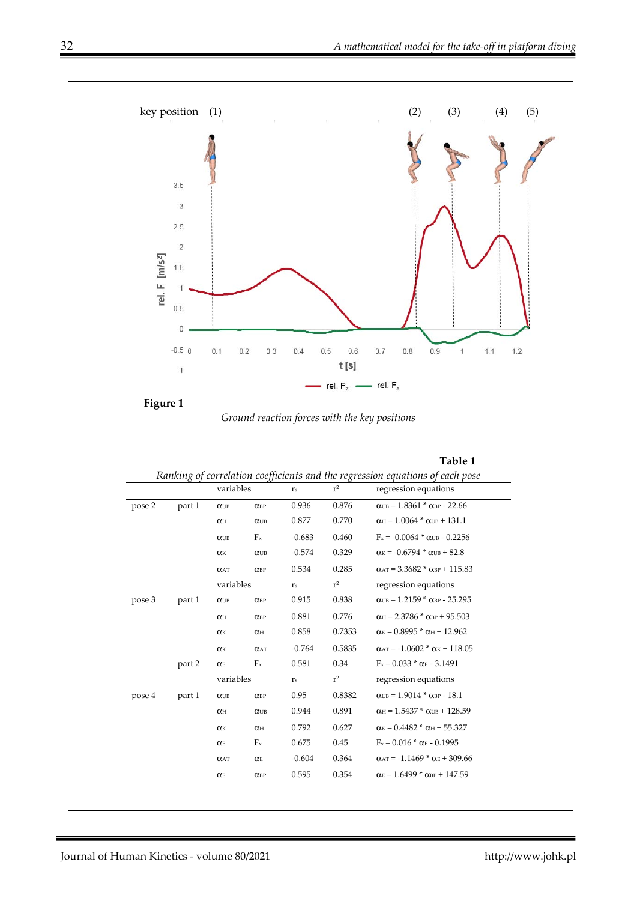

*Ground reaction forces with the key positions* 

*Ranking of correlation coefficients and the regression equations of each pose* 

|        |        |                       | variables              |                           | r <sup>2</sup> | regression equations                                              |  |
|--------|--------|-----------------------|------------------------|---------------------------|----------------|-------------------------------------------------------------------|--|
| pose 2 | part 1 | $\alpha$ UB           | $O$ <sub>BP</sub>      | 0.936                     | 0.876          | $\alpha_{UB} = 1.8361 * \alpha_{BP} - 22.66$                      |  |
|        |        | $\alpha$ H            | $\alpha$               | 0.877                     | 0.770          | $\alpha$ H = 1.0064 $*$ $\alpha$ UB + 131.1                       |  |
|        |        | $\alpha$ UB           | $F_x$                  | $-0.683$                  | 0.460          | $F_x = -0.0064 * \alpha$ UB - 0.2256                              |  |
|        |        | $\alpha$ <sub>K</sub> | $\alpha$ UB            | $-0.574$                  | 0.329          | $\alpha$ K = -0.6794 * $\alpha$ UB + 82.8                         |  |
|        |        | $\alpha$ AT           | $O$ CBP                | 0.534                     | 0.285          | $\alpha_{AT}$ = 3.3682 $*$ $\alpha_{BP}$ + 115.83                 |  |
|        |        | variables             |                        | $\mathbf{r}_\mathrm{s}$   | $r^2$          | regression equations                                              |  |
| pose 3 | part 1 | $\alpha$ UB           | $O$ CBP                | 0.915                     | 0.838          | $\alpha_{UB} = 1.2159 * \alpha_{BP} - 25.295$                     |  |
|        |        | $\alpha_{\rm H}$      | $O$ CBP                | 0.881                     | 0.776          | $\alpha_{\rm H}$ = 2.3786 $*$ $\alpha_{\rm BP}$ + 95.503          |  |
|        |        | $\alpha$ <sub>K</sub> | $\alpha$ H             | 0.858                     | 0.7353         | $\alpha$ <sub>K</sub> = 0.8995 * $\alpha$ <sub>H</sub> + 12.962   |  |
|        |        | $\alpha$              | $\alpha$ AT            | $-0.764$                  | 0.5835         | $\alpha_{AT}$ = -1.0602 * $\alpha_{K}$ + 118.05                   |  |
|        | part 2 | $\alpha$ $\!$         | $F_{x}$                | 0.581                     | 0.34           | $F_x = 0.033 * \alpha_E - 3.1491$                                 |  |
|        |        | variables             |                        | $\mathbf{r}_{\mathrm{s}}$ | $r^2$          | regression equations                                              |  |
| pose 4 | part 1 | $\alpha$ UB           | $O$ CBP                | 0.95                      | 0.8382         | $\alpha_{UB} = 1.9014 * \alpha_{BP} - 18.1$                       |  |
|        |        | $\alpha_{\rm H}$      | $\alpha$               | 0.944                     | 0.891          | $\alpha_{\text{H}} = 1.5437 * \alpha_{\text{UB}} + 128.59$        |  |
|        |        | $\alpha$              | $\alpha$ H             | 0.792                     | 0.627          | $\alpha$ <sub>K</sub> = 0.4482 $*$ $\alpha$ <sub>H</sub> + 55.327 |  |
|        |        | $\alpha$ E            | $F_x$                  | 0.675                     | 0.45           | $F_x = 0.016 * \alpha_E - 0.1995$                                 |  |
|        |        | $\alpha$ AT           | O(E)                   | $-0.604$                  | 0.364          | $\alpha_{AT}$ = -1.1469 * $\alpha_E$ + 309.66                     |  |
|        |        | $\alpha_{\rm E}$      | $\alpha_{\mathrm{BP}}$ | 0.595                     | 0.354          | $\alpha$ <sub>E</sub> = 1.6499 * $\alpha$ <sub>BP</sub> + 147.59  |  |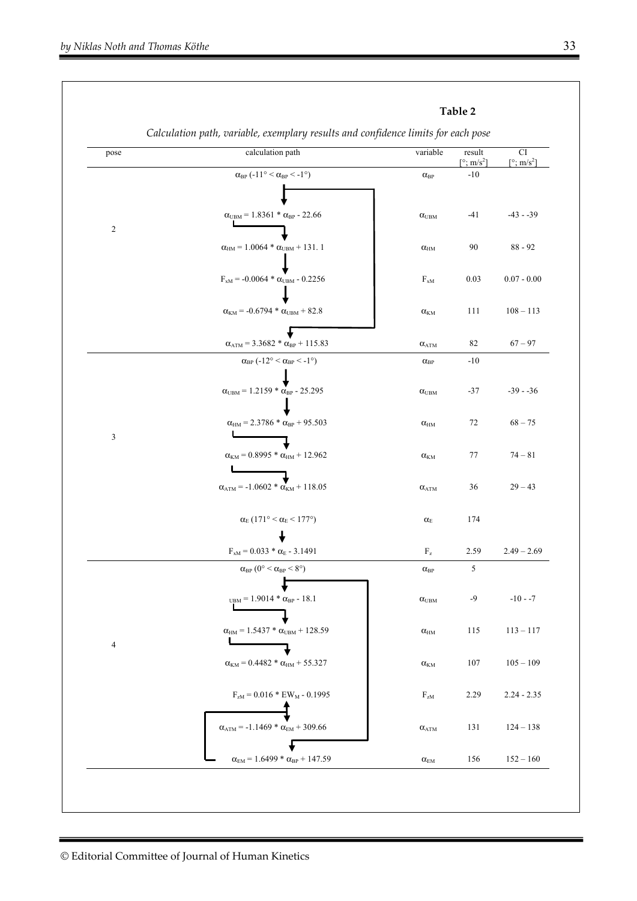| pose           | calculation path                                               | variable                          | result<br>[ $\degree$ ; m/s <sup>2</sup> ] | CI<br>$[\degree; m/s^2]$ |
|----------------|----------------------------------------------------------------|-----------------------------------|--------------------------------------------|--------------------------|
|                | $\alpha_\textsc{bp}$ (-11° < $\alpha_\textsc{bp}$ < -1°)       | $\alpha_{\rm BP}$                 | $-10$                                      |                          |
|                | $\alpha_{\text{UBM}} = 1.8361 * \alpha_{\text{BP}} - 22.66$    | $\alpha_{\scriptscriptstyle UBM}$ | $-41$                                      | $-43 - -39$              |
| $\sqrt{2}$     | $\alpha_{HM} = 1.0064 * \alpha_{UBM} + 131.1$                  | $\alpha_{\text{HM}}$              | 90                                         | $88 - 92$                |
|                | $F_{\textsc{xm}}$ = -0.0064 * $\alpha_{\textsc{UBM}}$ - 0.2256 | $F_{xM}$                          | 0.03                                       | $0.07 - 0.00$            |
|                | $\alpha_{\rm KM}$ = -0.6794 * $\alpha_{\rm UBM}$ + 82.8        | $\alpha_{\rm KM}$                 | 111                                        | $108 - 113$              |
|                | $\alpha_{ATM} = 3.3682 * \alpha_{BP} + 115.83$                 | $\alpha_{\text{ATM}}$             | 82                                         | $67 - 97$                |
|                | $\alpha_{\rm BP}$ (-12° < $\alpha_{\rm BP}$ < -1°)             | $\alpha_{\rm BP}$                 | $-10$                                      |                          |
|                | $\alpha_{\text{UBM}} = 1.2159 * \alpha_{\text{BP}} - 25.295$   | $\alpha_{\scriptscriptstyle UBM}$ | $-37$                                      | $-39 - -36$              |
| $\mathfrak{Z}$ | $\alpha_{\text{HM}} = 2.3786 * \alpha_{\text{BP}} + 95.503$    | $\alpha_{\text{HM}}$              | 72                                         | $68 - 75$                |
|                | $\alpha_{\rm KM} = 0.8995 * \alpha_{\rm HM} + 12.962$          | $\alpha_{\rm KM}$                 | 77                                         | $74 - 81$                |
|                | $\alpha_{ATM} = -1.0602 * \alpha_{KM} + 118.05$                | $\alpha_{\text{ATM}}$             | 36                                         | $29 - 43$                |
|                | $\alpha_{\rm E}$ (171° < $\alpha_{\rm E}$ < 177°)              | $\alpha_{\rm E}$                  | 174                                        |                          |
|                | $F_{\textsc{m}}$ = 0.033 * $\alpha_{\textsc{E}}$ - 3.1491      | $\rm F_z$                         | 2.59                                       | $2.49 - 2.69$            |
|                | $\alpha_{\text{BP}}$ (0° < $\alpha_{\text{BP}}$ < 8°)          | $\alpha_{\rm BP}$                 | 5                                          |                          |
|                | $_{\text{UBM}}$ = 1.9014 * $\alpha_{\text{BP}}$ - 18.1         | $\alpha_{\scriptscriptstyle UBM}$ | $-9$                                       | $-10 - -7$               |
| $\overline{4}$ | $\alpha_{HM} = 1.5437 * \alpha_{UBM} + 128.59$                 | $\alpha_{\rm HM}$                 | 115                                        | $113 - 117$              |
|                | $\alpha_{KM} = 0.4482 * \alpha_{HM} + 55.327$                  | $\alpha_{\rm KM}$                 | 107                                        | $105 - 109$              |
|                | $F_{zM} = 0.016 * EW_M - 0.1995$                               | $F_{zM}$                          | 2.29                                       | $2.24 - 2.35$            |
|                | $\alpha_{\text{ATM}} = -1.1469 * \alpha_{\text{EM}} + 309.66$  | $\alpha_{ATM}$                    | 131                                        | $124 - 138$              |
|                | $\alpha_{EM}$ = 1.6499 * $\alpha_{BP}$ + 147.59                | $\alpha_{\rm EM}$                 | 156                                        | $152 - 160$              |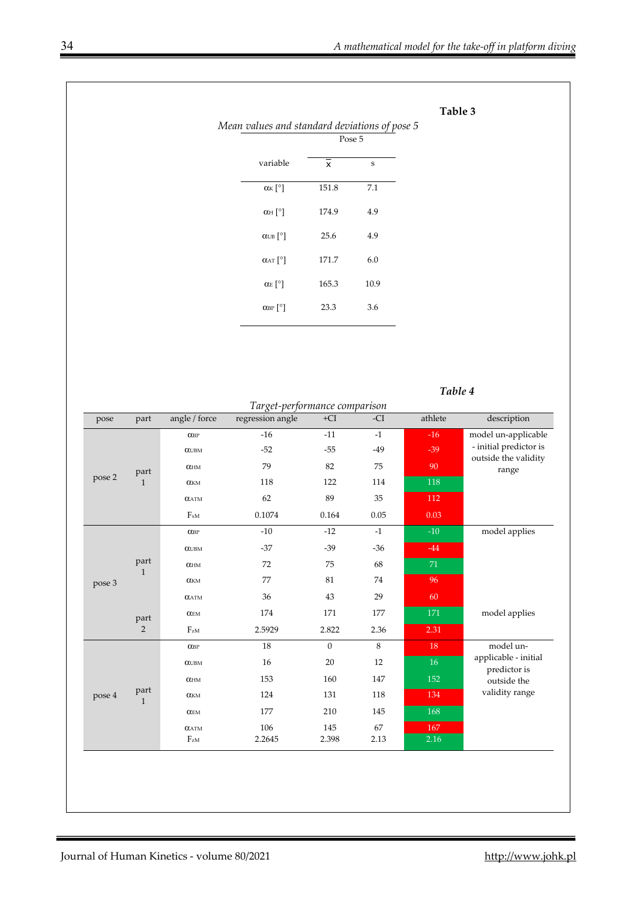**Table 3** 

|                                                      |                           | Pose 5 |
|------------------------------------------------------|---------------------------|--------|
| variable                                             | $\boldsymbol{\mathsf{x}}$ | S      |
| $\alpha$ <sub>K</sub> $\lceil$ <sup>o</sup> $\rceil$ | 151.8                     | 7.1    |
| $\alpha$ H $\lceil$ °]                               | 174.9                     | 4.9    |
| $\alpha$ UB $^{\circ}$                               | 25.6                      | 4.9    |
| $\alpha$ <sub>AT</sub> $^{\circ}$                    | 171.7                     | 6.0    |
| $\alpha$ <sub>E</sub> $^{\circ}$ ]                   | 165.3                     | 10.9   |
| $\alpha_{\rm BP}$ [°]                                | 23.3                      | 3.6    |

*Table 4* 

| Target-performance comparison |                      |                        |                  |              |       |         |                                                |
|-------------------------------|----------------------|------------------------|------------------|--------------|-------|---------|------------------------------------------------|
| pose                          | part                 | angle / force          | regression angle | $+CI$        | -CI   | athlete | description                                    |
|                               |                      | $O$ <sub>O</sub> BP    | $-16$            | $-11$        | $-1$  | $-16$   | model un-applicable                            |
|                               |                      | $\alpha$ UBM           | $-52$            | $-55$        | $-49$ | $-39$   | - initial predictor is<br>outside the validity |
|                               | part                 | $\alpha$ <sub>HM</sub> | 79               | 82           | 75    | 90      | range                                          |
| pose 2                        | $\mathbf{1}$         | $\alpha_{\rm KM}$      | 118              | 122          | 114   | 118     |                                                |
|                               |                      | $\alpha$ atm           | 62               | 89           | 35    | 112     |                                                |
|                               |                      | $F_{xM}$               | 0.1074           | 0.164        | 0.05  | 0.03    |                                                |
|                               |                      | $\alpha_{\mathrm{BP}}$ | $-10$            | $-12$        | $-1$  | $-10$   | model applies                                  |
|                               |                      | $\alpha$ UBM           | $-37$            | $-39$        | $-36$ | $-44$   |                                                |
|                               | part                 | $\alpha_{\text{HM}}$   | 72               | 75           | 68    | $71\,$  |                                                |
| pose 3                        | $\mathbf{1}$         | $\alpha_{\rm KM}$      | 77               | 81           | 74    | 96      |                                                |
|                               |                      | $\alpha$ atm           | 36               | 43           | 29    | 60      |                                                |
|                               | part                 | $\alpha_{\rm EM}$      | 174              | 171          | 177   | $171\,$ | model applies                                  |
|                               | $\overline{2}$       | F <sub>zM</sub>        | 2.5929           | 2.822        | 2.36  | 2.31    |                                                |
|                               |                      | $\alpha_{\mathrm{BP}}$ | 18               | $\mathbf{0}$ | $8\,$ | 18      | model un-                                      |
|                               |                      | $\alpha$ UBM           | 16               | $20\,$       | 12    | $16\,$  | applicable - initial<br>predictor is           |
|                               |                      | $\alpha_{\text{HM}}$   | 153              | 160          | 147   | 152     | outside the                                    |
| pose 4                        | part<br>$\mathbf{1}$ | $\alpha_{\rm KM}$      | 124              | 131          | 118   | 134     | validity range                                 |
|                               |                      | $\alpha_{\rm EM}$      | 177              | 210          | 145   | 168     |                                                |
|                               |                      | $\alpha$ atm           | 106              | 145          | 67    | 167     |                                                |
|                               |                      | $F_{\rm zM}$           | 2.2645           | 2.398        | 2.13  | 2.16    |                                                |
|                               |                      |                        |                  |              |       |         |                                                |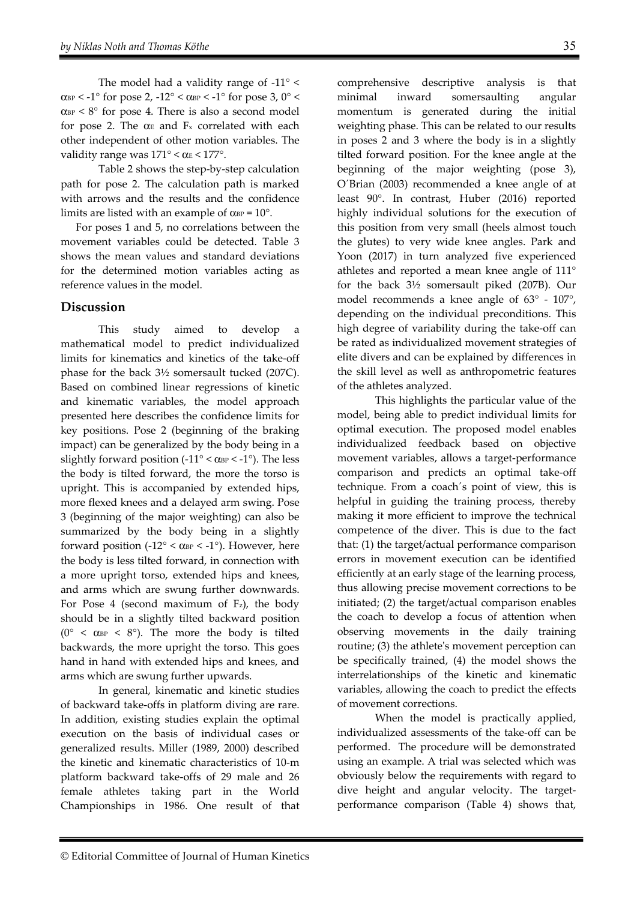The model had a validity range of -11° <  $\alpha_{\rm BP}$  < -1° for pose 2, -12° <  $\alpha_{\rm BP}$  < -1° for pose 3, 0° <  $\alpha_{\text{BP}}$  < 8° for pose 4. There is also a second model for pose 2. The  $\alpha$ <sub>E</sub> and F<sub>x</sub> correlated with each other independent of other motion variables. The validity range was  $171^{\circ} < \alpha_{\rm E} < 177^{\circ}$ .

Table 2 shows the step-by-step calculation path for pose 2. The calculation path is marked with arrows and the results and the confidence limits are listed with an example of  $\alpha_{\text{BP}} = 10^{\circ}$ .

For poses 1 and 5, no correlations between the movement variables could be detected. Table 3 shows the mean values and standard deviations for the determined motion variables acting as reference values in the model.

### **Discussion**

This study aimed to develop a mathematical model to predict individualized limits for kinematics and kinetics of the take-off phase for the back 3½ somersault tucked (207C). Based on combined linear regressions of kinetic and kinematic variables, the model approach presented here describes the confidence limits for key positions. Pose 2 (beginning of the braking impact) can be generalized by the body being in a slightly forward position (- $11^{\circ}$  <  $\alpha$ <sub>BP</sub> < -1<sup>°</sup>). The less the body is tilted forward, the more the torso is upright. This is accompanied by extended hips, more flexed knees and a delayed arm swing. Pose 3 (beginning of the major weighting) can also be summarized by the body being in a slightly forward position (- $12^{\circ} < \alpha_{BP} < -1^{\circ}$ ). However, here the body is less tilted forward, in connection with a more upright torso, extended hips and knees, and arms which are swung further downwards. For Pose 4 (second maximum of  $F_z$ ), the body should be in a slightly tilted backward position ( $0^{\circ}$  <  $\alpha_{\rm BP}$  <  $8^{\circ}$ ). The more the body is tilted backwards, the more upright the torso. This goes hand in hand with extended hips and knees, and arms which are swung further upwards.

In general, kinematic and kinetic studies of backward take-offs in platform diving are rare. In addition, existing studies explain the optimal execution on the basis of individual cases or generalized results. Miller (1989, 2000) described the kinetic and kinematic characteristics of 10-m platform backward take-offs of 29 male and 26 female athletes taking part in the World Championships in 1986. One result of that comprehensive descriptive analysis is that minimal inward somersaulting angular momentum is generated during the initial weighting phase. This can be related to our results in poses 2 and 3 where the body is in a slightly tilted forward position. For the knee angle at the beginning of the major weighting (pose 3), O´Brian (2003) recommended a knee angle of at least 90°. In contrast, Huber (2016) reported highly individual solutions for the execution of this position from very small (heels almost touch the glutes) to very wide knee angles. Park and Yoon (2017) in turn analyzed five experienced athletes and reported a mean knee angle of 111° for the back 3½ somersault piked (207B). Our model recommends a knee angle of 63° - 107°, depending on the individual preconditions. This high degree of variability during the take-off can be rated as individualized movement strategies of elite divers and can be explained by differences in the skill level as well as anthropometric features of the athletes analyzed.

This highlights the particular value of the model, being able to predict individual limits for optimal execution. The proposed model enables individualized feedback based on objective movement variables, allows a target-performance comparison and predicts an optimal take-off technique. From a coach´s point of view, this is helpful in guiding the training process, thereby making it more efficient to improve the technical competence of the diver. This is due to the fact that: (1) the target/actual performance comparison errors in movement execution can be identified efficiently at an early stage of the learning process, thus allowing precise movement corrections to be initiated; (2) the target/actual comparison enables the coach to develop a focus of attention when observing movements in the daily training routine; (3) the athlete's movement perception can be specifically trained, (4) the model shows the interrelationships of the kinetic and kinematic variables, allowing the coach to predict the effects of movement corrections.

When the model is practically applied, individualized assessments of the take-off can be performed. The procedure will be demonstrated using an example. A trial was selected which was obviously below the requirements with regard to dive height and angular velocity. The targetperformance comparison (Table 4) shows that,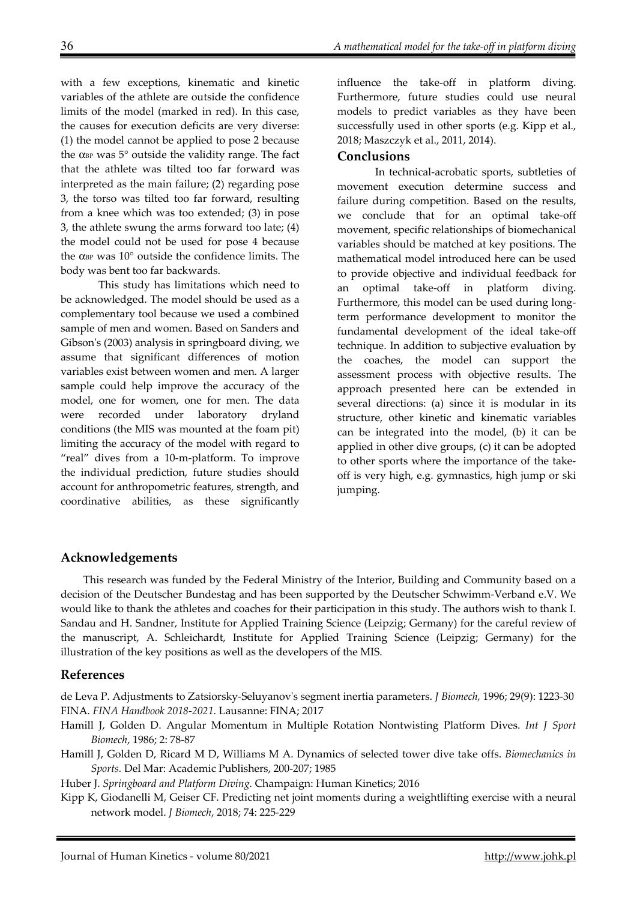with a few exceptions, kinematic and kinetic variables of the athlete are outside the confidence limits of the model (marked in red). In this case, the causes for execution deficits are very diverse: (1) the model cannot be applied to pose 2 because the  $\alpha_{\text{BP}}$  was 5 $\degree$  outside the validity range. The fact that the athlete was tilted too far forward was interpreted as the main failure; (2) regarding pose 3, the torso was tilted too far forward, resulting from a knee which was too extended; (3) in pose 3, the athlete swung the arms forward too late; (4) the model could not be used for pose 4 because the α $B<sub>P</sub>$  was 10 $°$  outside the confidence limits. The body was bent too far backwards.

This study has limitations which need to be acknowledged. The model should be used as a complementary tool because we used a combined sample of men and women. Based on Sanders and Gibson's (2003) analysis in springboard diving, we assume that significant differences of motion variables exist between women and men. A larger sample could help improve the accuracy of the model, one for women, one for men. The data were recorded under laboratory dryland conditions (the MIS was mounted at the foam pit) limiting the accuracy of the model with regard to "real" dives from a 10-m-platform. To improve the individual prediction, future studies should account for anthropometric features, strength, and coordinative abilities, as these significantly

influence the take-off in platform diving. Furthermore, future studies could use neural models to predict variables as they have been successfully used in other sports (e.g. Kipp et al., 2018; Maszczyk et al., 2011, 2014).

#### **Conclusions**

In technical-acrobatic sports, subtleties of movement execution determine success and failure during competition. Based on the results, we conclude that for an optimal take-off movement, specific relationships of biomechanical variables should be matched at key positions. The mathematical model introduced here can be used to provide objective and individual feedback for an optimal take-off in platform diving. Furthermore, this model can be used during longterm performance development to monitor the fundamental development of the ideal take-off technique. In addition to subjective evaluation by the coaches, the model can support the assessment process with objective results. The approach presented here can be extended in several directions: (a) since it is modular in its structure, other kinetic and kinematic variables can be integrated into the model, (b) it can be applied in other dive groups, (c) it can be adopted to other sports where the importance of the takeoff is very high, e.g. gymnastics, high jump or ski jumping.

#### **Acknowledgements**

This research was funded by the Federal Ministry of the Interior, Building and Community based on a decision of the Deutscher Bundestag and has been supported by the Deutscher Schwimm-Verband e.V. We would like to thank the athletes and coaches for their participation in this study. The authors wish to thank I. Sandau and H. Sandner, Institute for Applied Training Science (Leipzig; Germany) for the careful review of the manuscript, A. Schleichardt, Institute for Applied Training Science (Leipzig; Germany) for the illustration of the key positions as well as the developers of the MIS.

#### **References**

de Leva P. Adjustments to Zatsiorsky-Seluyanov's segment inertia parameters. *J Biomech,* 1996; 29(9): 1223-30 FINA. *FINA Handbook 2018-2021*. Lausanne: FINA; 2017

Hamill J, Golden D. Angular Momentum in Multiple Rotation Nontwisting Platform Dives. *Int J Sport Biomech*, 1986; 2: 78-87

Hamill J, Golden D, Ricard M D, Williams M A. Dynamics of selected tower dive take offs. *Biomechanics in Sports.* Del Mar: Academic Publishers, 200-207; 1985

Huber J. *Springboard and Platform Diving.* Champaign: Human Kinetics; 2016

Kipp K, Giodanelli M, Geiser CF. Predicting net joint moments during a weightlifting exercise with a neural network model. *J Biomech*, 2018; 74: 225-229